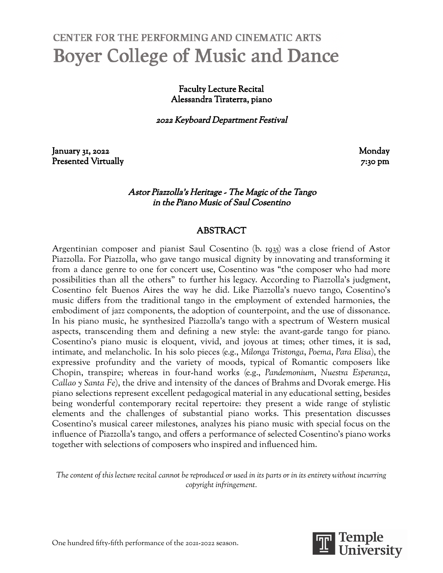# CENTER FOR THE PERFORMING AND CINEMATIC ARTS **Boyer College of Music and Dance**

Faculty Lecture Recital Alessandra Tiraterra, piano

<sup>2022</sup> Keyboard Department Festival

January 31, 2022 Monday Presented Virtually 7:30 pm

### Astor Piazzolla's Heritage - The Magic of the Tango in the Piano Music of Saul Cosentino

### ABSTRACT

Argentinian composer and pianist Saul Cosentino (b. 1935) was a close friend of Astor Piazzolla. For Piazzolla, who gave tango musical dignity by innovating and transforming it from a dance genre to one for concert use, Cosentino was "the composer who had more possibilities than all the others" to further his legacy. According to Piazzolla's judgment, Cosentino felt Buenos Aires the way he did. Like Piazzolla's nuevo tango, Cosentino's music differs from the traditional tango in the employment of extended harmonies, the embodiment of jazz components, the adoption of counterpoint, and the use of dissonance. In his piano music, he synthesized Piazzolla's tango with a spectrum of Western musical aspects, transcending them and defining a new style: the avant-garde tango for piano. Cosentino's piano music is eloquent, vivid, and joyous at times; other times, it is sad, intimate, and melancholic. In his solo pieces (e.g., *Milonga Tristonga*, *Poema*, *Para Elisa*), the expressive profundity and the variety of moods, typical of Romantic composers like Chopin, transpire; whereas in four-hand works (e.g., *Pandemonium*, *Nuestra Esperanza*, *Callao y Santa Fe*), the drive and intensity of the dances of Brahms and Dvorak emerge. His piano selections represent excellent pedagogical material in any educational setting, besides being wonderful contemporary recital repertoire: they present a wide range of stylistic elements and the challenges of substantial piano works. This presentation discusses Cosentino's musical career milestones, analyzes his piano music with special focus on the influence of Piazzolla's tango, and offers a performance of selected Cosentino's piano works together with selections of composers who inspired and influenced him.

The content of this lecture recital cannot be reproduced or used in its parts or in its entirety without incurring *copyright infringement.*

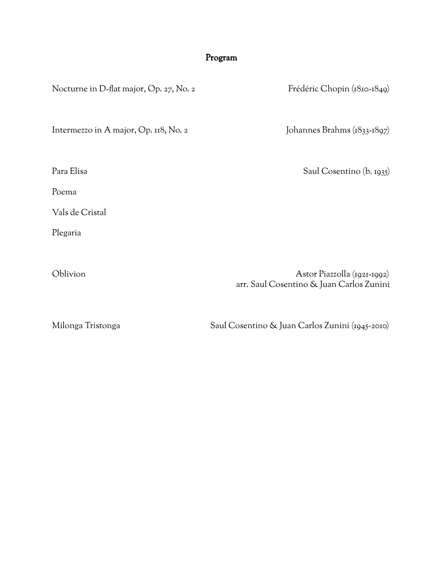## Program

| Nocturne in D-flat major, Op. 27, No. 2 | Frédéric Chopin (1810-1849)                                             |
|-----------------------------------------|-------------------------------------------------------------------------|
| Intermezzo in A major, Op. 118, No. 2   | Johannes Brahms (1833-1897)                                             |
| Para Elisa                              | Saul Cosentino (b. 1935)                                                |
| Poema                                   |                                                                         |
| Vals de Cristal                         |                                                                         |
| Plegaria                                |                                                                         |
|                                         |                                                                         |
| Oblivion                                | Astor Piazzolla (1921-1992)<br>arr. Saul Cosentino & Juan Carlos Zunini |

Milonga Tristonga Saul Cosentino & Juan Carlos Zunini (1945-2010)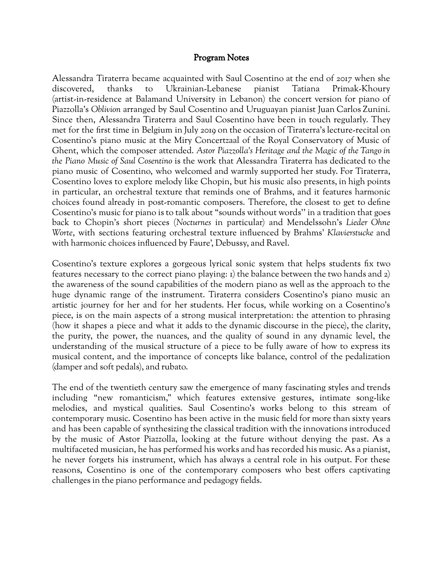### Program Notes

Alessandra Tiraterra became acquainted with Saul Cosentino at the end of 2017 when she discovered, thanks to Ukrainian-Lebanese pianist Tatiana Primak-Khoury (artist-in-residence at Balamand University in Lebanon) the concert version for piano of Piazzolla's *Oblivion* arranged by Saul Cosentino and Uruguayan pianist Juan Carlos Zunini. Since then, Alessandra Tiraterra and Saul Cosentino have been in touch regularly. They met for the first time in Belgium in July 2019 on the occasion of Tiraterra's lecture-recital on Cosentino's piano music at the Miry Concertzaal of the Royal Conservatory of Music of Ghent, which the composer attended. *Astor Piazzolla's Heritage and the Magic of the Tango in the Piano Music of Saul Cosentino* is the work that Alessandra Tiraterra has dedicated to the piano music of Cosentino, who welcomed and warmly supported her study. For Tiraterra, Cosentino loves to explore melody like Chopin, but his music also presents, in high points in particular, an orchestral texture that reminds one of Brahms, and it features harmonic choices found already in post-romantic composers. Therefore, the closest to get to define Cosentino's music for piano is to talk about "sounds without words'' in a tradition that goes back to Chopin's short pieces (*Nocturnes* in particular) and Mendelssohn's *Lieder Ohne Worte*, with sections featuring orchestral texture influenced by Brahms' *Klavierstucke* and with harmonic choices influenced by Faure', Debussy, and Ravel.

Cosentino's texture explores a gorgeous lyrical sonic system that helps students fix two features necessary to the correct piano playing: 1) the balance between the two hands and 2) the awareness of the sound capabilities of the modern piano as well as the approach to the huge dynamic range of the instrument. Tiraterra considers Cosentino's piano music an artistic journey for her and for her students. Her focus, while working on a Cosentino's piece, is on the main aspects of a strong musical interpretation: the attention to phrasing (how it shapes a piece and what it adds to the dynamic discourse in the piece), the clarity, the purity, the power, the nuances, and the quality of sound in any dynamic level, the understanding of the musical structure of a piece to be fully aware of how to express its musical content, and the importance of concepts like balance, control of the pedalization (damper and soft pedals), and rubato.

The end of the twentieth century saw the emergence of many fascinating styles and trends including "new romanticism," which features extensive gestures, intimate song-like melodies, and mystical qualities. Saul Cosentino's works belong to this stream of contemporary music. Cosentino has been active in the music field for more than sixty years and has been capable of synthesizing the classical tradition with the innovations introduced by the music of Astor Piazzolla, looking at the future without denying the past. As a multifaceted musician, he has performed his works and has recorded his music. As a pianist, he never forgets his instrument, which has always a central role in his output. For these reasons, Cosentino is one of the contemporary composers who best offers captivating challenges in the piano performance and pedagogy fields.